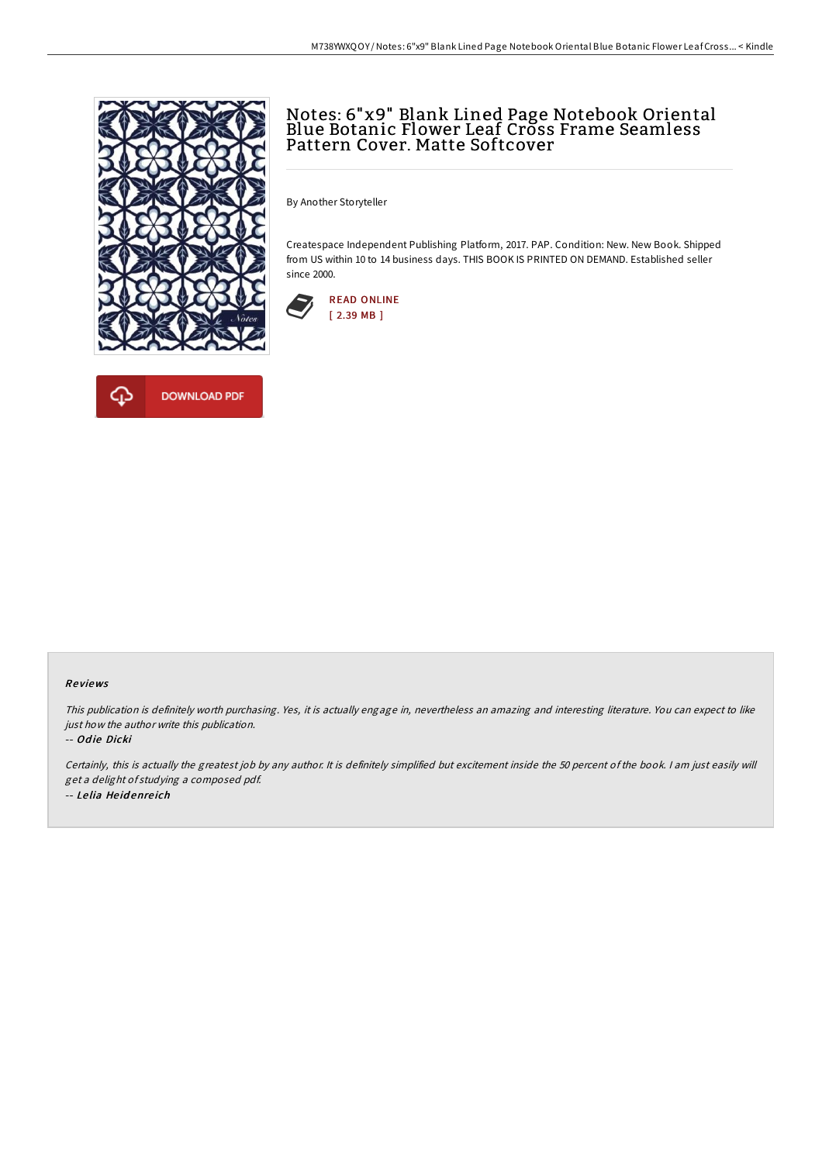



# Notes: 6"x9" Blank Lined Page Notebook Oriental Blue Botanic Flower Leaf Cross Frame Seamless Pattern Cover. Matte Softcover

By Another Storyteller

Createspace Independent Publishing Platform, 2017. PAP. Condition: New. New Book. Shipped from US within 10 to 14 business days. THIS BOOK IS PRINTED ON DEMAND. Established seller since 2000.



#### Re views

This publication is definitely worth purchasing. Yes, it is actually engage in, nevertheless an amazing and interesting literature. You can expect to like just how the author write this publication.

#### -- Odie Dicki

Certainly, this is actually the greatest job by any author. It is definitely simplified but excitement inside the 50 percent of the book. <sup>I</sup> am just easily will get <sup>a</sup> delight of studying <sup>a</sup> composed pdf. -- Le lia He id enre ich